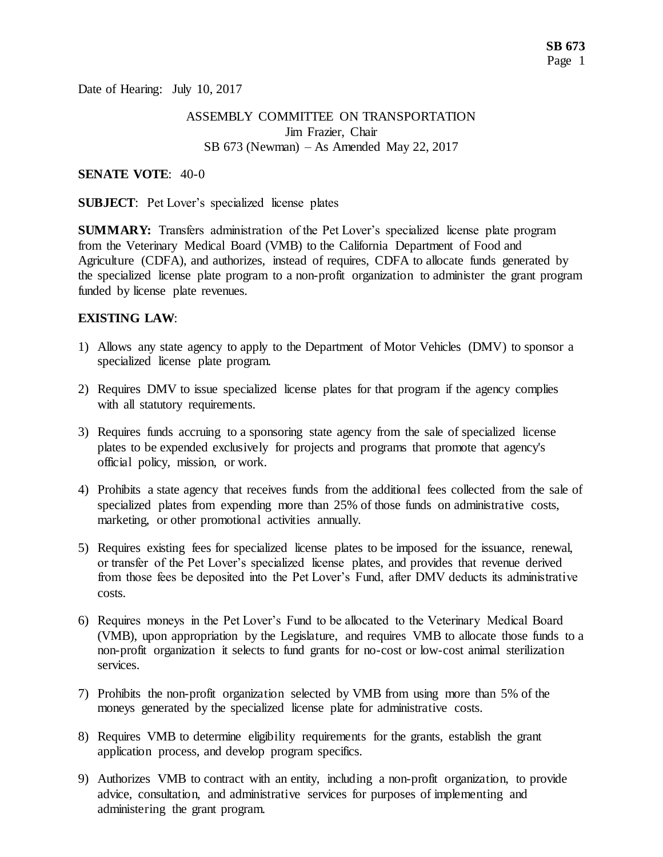Date of Hearing: July 10, 2017

### ASSEMBLY COMMITTEE ON TRANSPORTATION Jim Frazier, Chair SB 673 (Newman) – As Amended May 22, 2017

#### **SENATE VOTE**: 40-0

**SUBJECT**: Pet Lover's specialized license plates

**SUMMARY:** Transfers administration of the Pet Lover's specialized license plate program from the Veterinary Medical Board (VMB) to the California Department of Food and Agriculture (CDFA), and authorizes, instead of requires, CDFA to allocate funds generated by the specialized license plate program to a non-profit organization to administer the grant program funded by license plate revenues.

#### **EXISTING LAW**:

- 1) Allows any state agency to apply to the Department of Motor Vehicles (DMV) to sponsor a specialized license plate program.
- 2) Requires DMV to issue specialized license plates for that program if the agency complies with all statutory requirements.
- 3) Requires funds accruing to a sponsoring state agency from the sale of specialized license plates to be expended exclusively for projects and programs that promote that agency's official policy, mission, or work.
- 4) Prohibits a state agency that receives funds from the additional fees collected from the sale of specialized plates from expending more than 25% of those funds on administrative costs, marketing, or other promotional activities annually.
- 5) Requires existing fees for specialized license plates to be imposed for the issuance, renewal, or transfer of the Pet Lover's specialized license plates, and provides that revenue derived from those fees be deposited into the Pet Lover's Fund, after DMV deducts its administrative costs.
- 6) Requires moneys in the Pet Lover's Fund to be allocated to the Veterinary Medical Board (VMB), upon appropriation by the Legislature, and requires VMB to allocate those funds to a non-profit organization it selects to fund grants for no-cost or low-cost animal sterilization services.
- 7) Prohibits the non-profit organization selected by VMB from using more than 5% of the moneys generated by the specialized license plate for administrative costs.
- 8) Requires VMB to determine eligibility requirements for the grants, establish the grant application process, and develop program specifics.
- 9) Authorizes VMB to contract with an entity, including a non-profit organization, to provide advice, consultation, and administrative services for purposes of implementing and administering the grant program.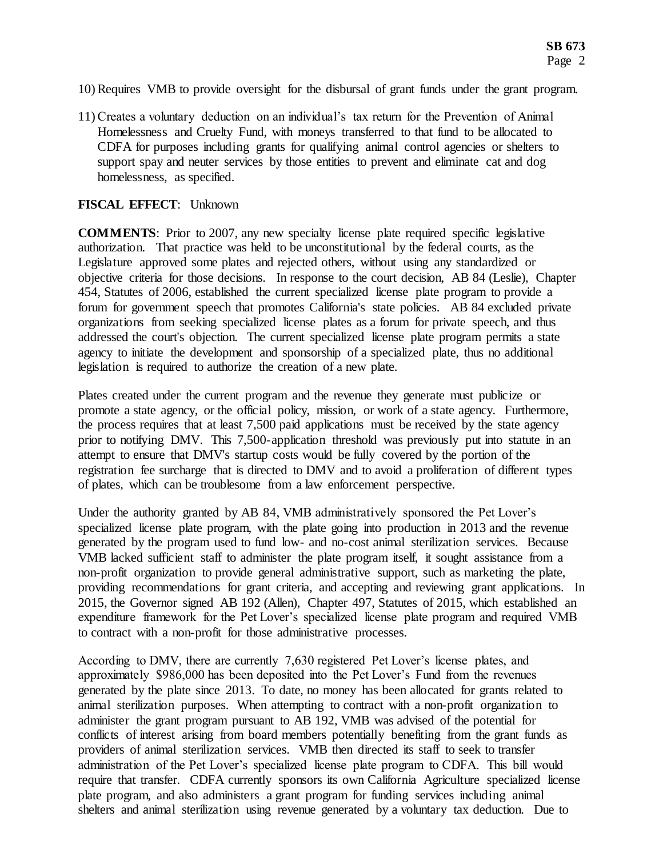- 10) Requires VMB to provide oversight for the disbursal of grant funds under the grant program.
- 11) Creates a voluntary deduction on an individual's tax return for the Prevention of Animal Homelessness and Cruelty Fund, with moneys transferred to that fund to be allocated to CDFA for purposes including grants for qualifying animal control agencies or shelters to support spay and neuter services by those entities to prevent and eliminate cat and dog homelessness, as specified.

#### **FISCAL EFFECT**: Unknown

**COMMENTS**: Prior to 2007, any new specialty license plate required specific legislative authorization. That practice was held to be unconstitutional by the federal courts, as the Legislature approved some plates and rejected others, without using any standardized or objective criteria for those decisions. In response to the court decision, AB 84 (Leslie), Chapter 454, Statutes of 2006, established the current specialized license plate program to provide a forum for government speech that promotes California's state policies. AB 84 excluded private organizations from seeking specialized license plates as a forum for private speech, and thus addressed the court's objection. The current specialized license plate program permits a state agency to initiate the development and sponsorship of a specialized plate, thus no additional legislation is required to authorize the creation of a new plate.

Plates created under the current program and the revenue they generate must publicize or promote a state agency, or the official policy, mission, or work of a state agency. Furthermore, the process requires that at least 7,500 paid applications must be received by the state agency prior to notifying DMV. This 7,500-application threshold was previously put into statute in an attempt to ensure that DMV's startup costs would be fully covered by the portion of the registration fee surcharge that is directed to DMV and to avoid a proliferation of different types of plates, which can be troublesome from a law enforcement perspective.

Under the authority granted by AB 84, VMB administratively sponsored the Pet Lover's specialized license plate program, with the plate going into production in 2013 and the revenue generated by the program used to fund low- and no-cost animal sterilization services. Because VMB lacked sufficient staff to administer the plate program itself, it sought assistance from a non-profit organization to provide general administrative support, such as marketing the plate, providing recommendations for grant criteria, and accepting and reviewing grant applications. In 2015, the Governor signed AB 192 (Allen), Chapter 497, Statutes of 2015, which established an expenditure framework for the Pet Lover's specialized license plate program and required VMB to contract with a non-profit for those administrative processes.

According to DMV, there are currently 7,630 registered Pet Lover's license plates, and approximately \$986,000 has been deposited into the Pet Lover's Fund from the revenues generated by the plate since 2013. To date, no money has been allocated for grants related to animal sterilization purposes. When attempting to contract with a non-profit organization to administer the grant program pursuant to AB 192, VMB was advised of the potential for conflicts of interest arising from board members potentially benefiting from the grant funds as providers of animal sterilization services. VMB then directed its staff to seek to transfer administration of the Pet Lover's specialized license plate program to CDFA. This bill would require that transfer. CDFA currently sponsors its own California Agriculture specialized license plate program, and also administers a grant program for funding services including animal shelters and animal sterilization using revenue generated by a voluntary tax deduction. Due to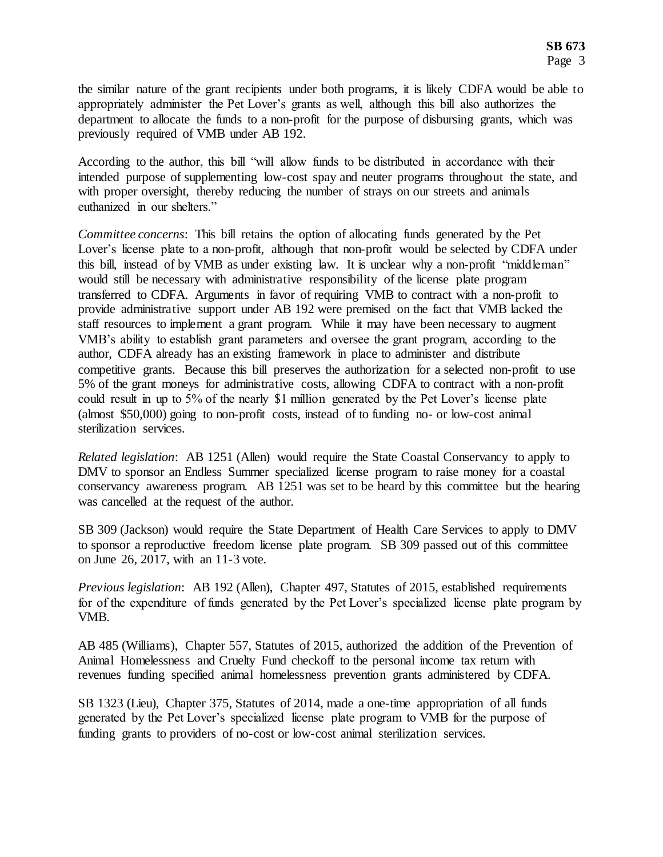the similar nature of the grant recipients under both programs, it is likely CDFA would be able to appropriately administer the Pet Lover's grants as well, although this bill also authorizes the department to allocate the funds to a non-profit for the purpose of disbursing grants, which was previously required of VMB under AB 192.

According to the author, this bill "will allow funds to be distributed in accordance with their intended purpose of supplementing low-cost spay and neuter programs throughout the state, and with proper oversight, thereby reducing the number of strays on our streets and animals euthanized in our shelters."

*Committee concerns*: This bill retains the option of allocating funds generated by the Pet Lover's license plate to a non-profit, although that non-profit would be selected by CDFA under this bill, instead of by VMB as under existing law. It is unclear why a non-profit "middleman" would still be necessary with administrative responsibility of the license plate program transferred to CDFA. Arguments in favor of requiring VMB to contract with a non-profit to provide administrative support under AB 192 were premised on the fact that VMB lacked the staff resources to implement a grant program. While it may have been necessary to augment VMB's ability to establish grant parameters and oversee the grant program, according to the author, CDFA already has an existing framework in place to administer and distribute competitive grants. Because this bill preserves the authorization for a selected non-profit to use 5% of the grant moneys for administrative costs, allowing CDFA to contract with a non-profit could result in up to 5% of the nearly \$1 million generated by the Pet Lover's license plate (almost \$50,000) going to non-profit costs, instead of to funding no- or low-cost animal sterilization services.

*Related legislation*: AB 1251 (Allen) would require the State Coastal Conservancy to apply to DMV to sponsor an Endless Summer specialized license program to raise money for a coastal conservancy awareness program. AB 1251 was set to be heard by this committee but the hearing was cancelled at the request of the author.

SB 309 (Jackson) would require the State Department of Health Care Services to apply to DMV to sponsor a reproductive freedom license plate program. SB 309 passed out of this committee on June 26, 2017, with an 11-3 vote.

*Previous legislation*: AB 192 (Allen), Chapter 497, Statutes of 2015, established requirements for of the expenditure of funds generated by the Pet Lover's specialized license plate program by VMB.

AB 485 (Williams), Chapter 557, Statutes of 2015, authorized the addition of the Prevention of Animal Homelessness and Cruelty Fund checkoff to the personal income tax return with revenues funding specified animal homelessness prevention grants administered by CDFA.

SB 1323 (Lieu), Chapter 375, Statutes of 2014, made a one-time appropriation of all funds generated by the Pet Lover's specialized license plate program to VMB for the purpose of funding grants to providers of no-cost or low-cost animal sterilization services.